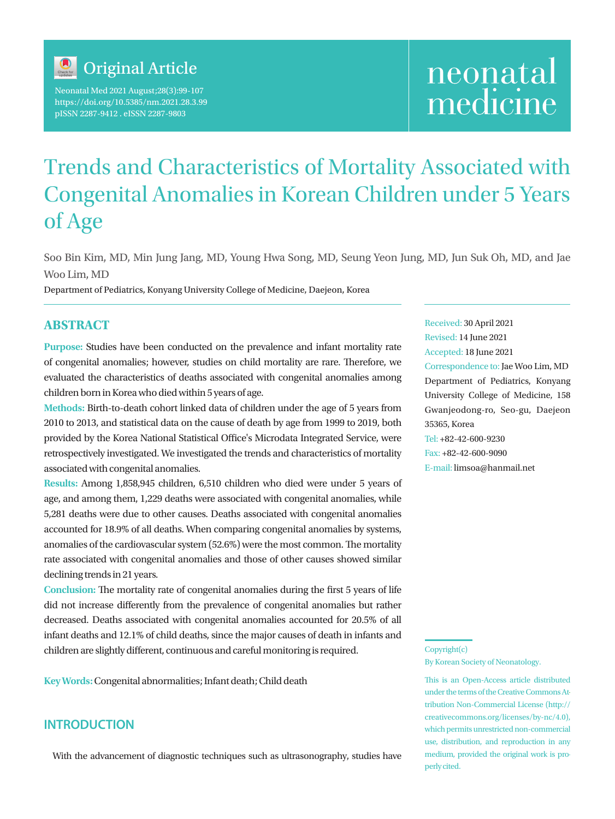

Neonatal Med 2021 August;28(3):99-107 https://doi.org/10.5385/nm.2021.28.3.99 pISSN 2287-9412 . eISSN 2287-9803

# neonatal medicine

# Trends and Characteristics of Mortality Associated with Congenital Anomalies in Korean Children under 5 Years of Age

Soo Bin Kim, MD, Min Jung Jang, MD, Young Hwa Song, MD, Seung Yeon Jung, MD, Jun Suk Oh, MD, and Jae Woo Lim, MD

Department of Pediatrics, Konyang University College of Medicine, Daejeon, Korea

# **ABSTRACT**

**Purpose:** Studies have been conducted on the prevalence and infant mortality rate of congenital anomalies; however, studies on child mortality are rare. Therefore, we evaluated the characteristics of deaths associated with congenital anomalies among children born in Korea who died within 5 years of age.

**Methods:** Birth-to-death cohort linked data of children under the age of 5 years from 2010 to 2013, and statistical data on the cause of death by age from 1999 to 2019, both provided by the Korea National Statistical Office's Microdata Integrated Service, were retrospectively investigated. We investigated the trends and characteristics of mortality associated with congenital anomalies.

**Results:** Among 1,858,945 children, 6,510 children who died were under 5 years of age, and among them, 1,229 deaths were associated with congenital anomalies, while 5,281 deaths were due to other causes. Deaths associated with congenital anomalies accounted for 18.9% of all deaths. When comparing congenital anomalies by systems, anomalies of the cardiovascular system (52.6%) were the most common. The mortality rate associated with congenital anomalies and those of other causes showed similar declining trends in 21 years.

**Conclusion:** The mortality rate of congenital anomalies during the first 5 years of life did not increase differently from the prevalence of congenital anomalies but rather decreased. Deaths associated with congenital anomalies accounted for 20.5% of all infant deaths and 12.1% of child deaths, since the major causes of death in infants and children are slightly different, continuous and careful monitoring is required.

**Key Words:** Congenital abnormalities; Infant death; Child death

# **INTRODUCTION**

With the advancement of diagnostic techniques such as ultrasonography, studies have

Received: 30 April 2021 Revised: 14 June 2021 Accepted: 18 June 2021 Correspondence to: Jae Woo Lim, MD Department of Pediatrics, Konyang University College of Medicine, 158 Gwanjeodong-ro, Seo-gu, Daejeon 35365, Korea Tel: +82-42-600-9230 Fax: +82-42-600-9090 E-mail: limsoa@hanmail.net

Copyright(c) By Korean Society of Neonatology.

This is an Open-Access article distributed under the terms of the Creative Commons Attribution Non-Commercial License (http:// creativecommons.org/licenses/by-nc/4.0), which permits unrestricted non-commercial use, distribution, and reproduction in any medium, provided the original work is properly cited.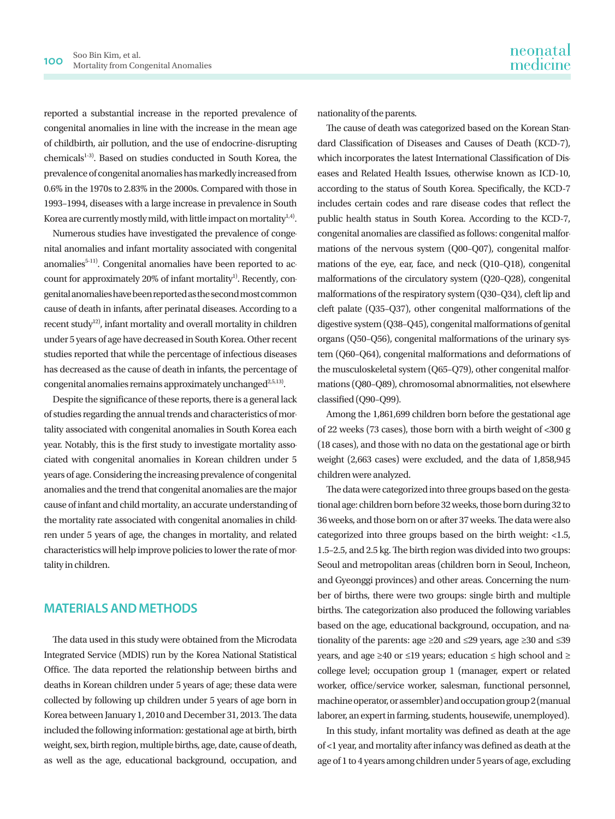reported a substantial increase in the reported prevalence of congenital anomalies in line with the increase in the mean age of childbirth, air pollution, and the use of endocrine-disrupting chemicals<sup>1-3)</sup>. Based on studies conducted in South Korea, the prevalence of congenital anomalies has markedly increased from 0.6% in the 1970s to 2.83% in the 2000s. Compared with those in 1993–1994, diseases with a large increase in prevalence in South Korea are currently mostly mild, with little impact on mortality<sup>1,4)</sup>.

Numerous studies have investigated the prevalence of congenital anomalies and infant mortality associated with congenital anomalies<sup>5-11)</sup>. Congenital anomalies have been reported to account for approximately 20% of infant mortality<sup>1)</sup>. Recently, congenital anomalies have been reported as the second most common cause of death in infants, after perinatal diseases. According to a recent study<sup>12)</sup>, infant mortality and overall mortality in children under 5 years of age have decreased in South Korea. Other recent studies reported that while the percentage of infectious diseases has decreased as the cause of death in infants, the percentage of congenital anomalies remains approximately unchanged<sup>2,5,13)</sup>.

Despite the significance of these reports, there is a general lack of studies regarding the annual trends and characteristics of mortality associated with congenital anomalies in South Korea each year. Notably, this is the first study to investigate mortality associated with congenital anomalies in Korean children under 5 years of age. Considering the increasing prevalence of congenital anomalies and the trend that congenital anomalies are the major cause of infant and child mortality, an accurate understanding of the mortality rate associated with congenital anomalies in children under 5 years of age, the changes in mortality, and related characteristics will help improve policies to lower the rate of mortality in children.

# **MATERIALS AND METHODS**

The data used in this study were obtained from the Microdata Integrated Service (MDIS) run by the Korea National Statistical Office. The data reported the relationship between births and deaths in Korean children under 5 years of age; these data were collected by following up children under 5 years of age born in Korea between January 1, 2010 and December 31, 2013. The data included the following information: gestational age at birth, birth weight, sex, birth region, multiple births, age, date, cause of death, as well as the age, educational background, occupation, and

nationality of the parents.

The cause of death was categorized based on the Korean Standard Classification of Diseases and Causes of Death (KCD-7), which incorporates the latest International Classification of Diseases and Related Health Issues, otherwise known as ICD-10, according to the status of South Korea. Specifically, the KCD-7 includes certain codes and rare disease codes that reflect the public health status in South Korea. According to the KCD-7, congenital anomalies are classified as follows: congenital malformations of the nervous system (Q00–Q07), congenital malformations of the eye, ear, face, and neck (Q10–Q18), congenital malformations of the circulatory system (Q20–Q28), congenital malformations of the respiratory system (Q30–Q34), cleft lip and cleft palate (Q35–Q37), other congenital malformations of the digestive system (Q38–Q45), congenital malformations of genital organs (Q50–Q56), congenital malformations of the urinary system (Q60–Q64), congenital malformations and deformations of the musculoskeletal system (Q65–Q79), other congenital malformations (Q80–Q89), chromosomal abnormalities, not elsewhere classified (Q90–Q99).

Among the 1,861,699 children born before the gestational age of 22 weeks (73 cases), those born with a birth weight of <300 g (18 cases), and those with no data on the gestational age or birth weight (2,663 cases) were excluded, and the data of 1,858,945 children were analyzed.

The data were categorized into three groups based on the gestational age: children born before 32 weeks, those born during 32 to 36 weeks, and those born on or after 37 weeks. The data were also categorized into three groups based on the birth weight: <1.5, 1.5–2.5, and 2.5 kg. The birth region was divided into two groups: Seoul and metropolitan areas (children born in Seoul, Incheon, and Gyeonggi provinces) and other areas. Concerning the number of births, there were two groups: single birth and multiple births. The categorization also produced the following variables based on the age, educational background, occupation, and nationality of the parents: age ≥20 and ≤29 years, age ≥30 and ≤39 years, and age ≥40 or ≤19 years; education ≤ high school and ≥ college level; occupation group 1 (manager, expert or related worker, office/service worker, salesman, functional personnel, machine operator, or assembler) and occupation group 2 (manual laborer, an expert in farming, students, housewife, unemployed).

In this study, infant mortality was defined as death at the age of <1 year, and mortality after infancy was defined as death at the age of 1 to 4 years among children under 5 years of age, excluding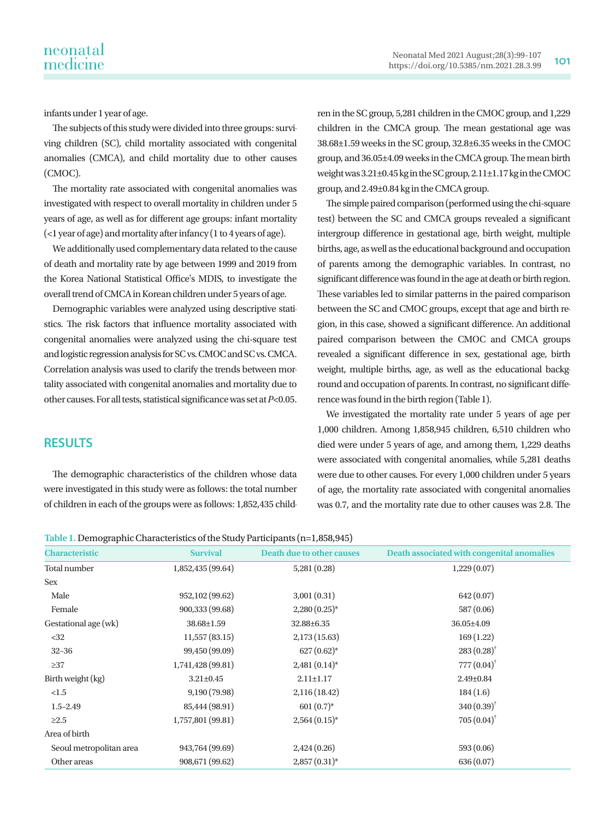infants under 1 year of age.

The subjects of this study were divided into three groups: surviving children (SC), child mortality associated with congenital anomalies (CMCA), and child mortality due to other causes (CMOC).

The mortality rate associated with congenital anomalies was investigated with respect to overall mortality in children under 5 years of age, as well as for different age groups: infant mortality  $\left($  <1 year of age) and mortality after infancy (1 to 4 years of age).

We additionally used complementary data related to the cause of death and mortality rate by age between 1999 and 2019 from the Korea National Statistical Office's MDIS, to investigate the overall trend of CMCA in Korean children under 5 years of age.

Demographic variables were analyzed using descriptive statistics. The risk factors that influence mortality associated with congenital anomalies were analyzed using the chi-square test and logistic regression analysis for SC vs. CMOC and SC vs. CMCA. Correlation analysis was used to clarify the trends between mortality associated with congenital anomalies and mortality due to other causes. For all tests, statistical significance was set at *P*<0.05. ren in the SC group, 5,281 children in the CMOC group, and 1,229 children in the CMCA group. The mean gestational age was 38.68±1.59 weeks in the SC group, 32.8±6.35 weeks in the CMOC group, and 36.05±4.09 weeks in the CMCA group. The mean birth weight was 3.21±0.45 kg in the SC group, 2.11±1.17 kg in the CMOC group, and 2.49±0.84 kg in the CMCA group.

The simple paired comparison (performed using the chi-square test) between the SC and CMCA groups revealed a significant intergroup difference in gestational age, birth weight, multiple births, age, as well as the educational background and occupation of parents among the demographic variables. In contrast, no significant difference was found in the age at death or birth region. These variables led to similar patterns in the paired comparison between the SC and CMOC groups, except that age and birth region, in this case, showed a significant difference. An additional paired comparison between the CMOC and CMCA groups revealed a significant difference in sex, gestational age, birth weight, multiple births, age, as well as the educational background and occupation of parents. In contrast, no significant difference was found in the birth region (Table 1).

We investigated the mortality rate under 5 years of age per 1,000 children. Among 1,858,945 children, 6,510 children who died were under 5 years of age, and among them, 1,229 deaths were associated with congenital anomalies, while 5,281 deaths were due to other causes. For every 1,000 children under 5 years of age, the mortality rate associated with congenital anomalies was 0.7, and the mortality rate due to other causes was 2.8. The

**RESULTS**

The demographic characteristics of the children whose data were investigated in this study were as follows: the total number of children in each of the groups were as follows: 1,852,435 child-

|  |  | Table 1. Demographic Characteristics of the Study Participants (n=1,858,945) |  |
|--|--|------------------------------------------------------------------------------|--|
|--|--|------------------------------------------------------------------------------|--|

| <b>Characteristic</b>   | <b>Survival</b>   | <b>Death due to other causes</b> | Death associated with congenital anomalies |
|-------------------------|-------------------|----------------------------------|--------------------------------------------|
| Total number            | 1,852,435 (99.64) | 5,281(0.28)                      | 1,229(0.07)                                |
| Sex                     |                   |                                  |                                            |
| Male                    | 952,102 (99.62)   | 3,001(0.31)                      | 642(0.07)                                  |
| Female                  | 900,333 (99.68)   | $2,280(0.25)$ *                  | 587 (0.06)                                 |
| Gestational age (wk)    | 38.68±1.59        | 32.88±6.35                       | 36.05±4.09                                 |
| <32                     | 11,557(83.15)     | 2,173(15.63)                     | 169(1.22)                                  |
| $32 - 36$               | 99,450 (99.09)    | $627(0.62)^*$                    | $283(0.28)$ <sup>†</sup>                   |
| $\geq$ 37               | 1,741,428 (99.81) | $2,481(0.14)^*$                  | $777(0.04)^{†}$                            |
| Birth weight (kg)       | $3.21 \pm 0.45$   | $2.11 \pm 1.17$                  | $2.49 \pm 0.84$                            |
| <1.5                    | 9,190 (79.98)     | 2,116(18.42)                     | 184(1.6)                                   |
| $1.5 - 2.49$            | 85,444 (98.91)    | $601(0.7)^*$                     | $340(0.39)$ <sup>†</sup>                   |
| $\geq 2.5$              | 1,757,801 (99.81) | $2,564(0.15)^*$                  | $705(0.04)^{†}$                            |
| Area of birth           |                   |                                  |                                            |
| Seoul metropolitan area | 943,764 (99.69)   | 2,424(0.26)                      | 593(0.06)                                  |
| Other areas             | 908,671 (99.62)   | $2,857(0.31)^*$                  | 636 (0.07)                                 |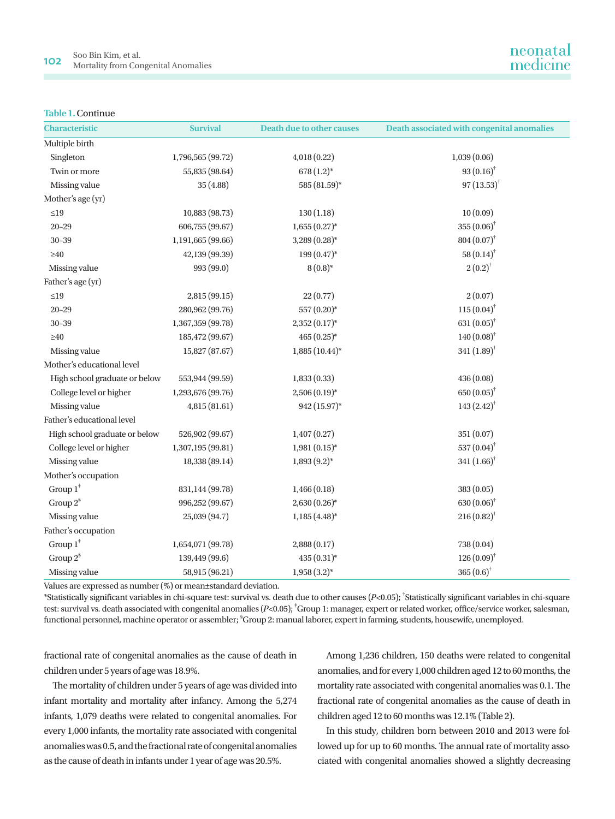#### **Table 1.** Continue

| <b>Characteristic</b>         | <b>Survival</b>   | <b>Death due to other causes</b> | Death associated with congenital anomalies |
|-------------------------------|-------------------|----------------------------------|--------------------------------------------|
| Multiple birth                |                   |                                  |                                            |
| Singleton                     | 1,796,565 (99.72) | 4,018 (0.22)                     | 1,039(0.06)                                |
| Twin or more                  | 55,835 (98.64)    | $678(1.2)^*$                     | $93(0.16)$ <sup>†</sup>                    |
| Missing value                 | 35(4.88)          | 585 (81.59)*                     | $97(13.53)^{+}$                            |
| Mother's age (yr)             |                   |                                  |                                            |
| $\leq 19$                     | 10,883 (98.73)    | 130(1.18)                        | 10(0.09)                                   |
| $20 - 29$                     | 606,755 (99.67)   | $1,655(0.27)$ *                  | $355(0.06)^{\dagger}$                      |
| $30 - 39$                     | 1,191,665 (99.66) | 3,289 (0.28)*                    | $804(0.07)^{†}$                            |
| $\geq 40$                     | 42,139 (99.39)    | $199(0.47)$ *                    | $58(0.14)$ <sup>†</sup>                    |
| Missing value                 | 993 (99.0)        | $8(0.8)*$                        | $2(0.2)^{^{\dagger}}$                      |
| Father's age (yr)             |                   |                                  |                                            |
| $\leq$ 19                     | 2,815(99.15)      | 22(0.77)                         | 2(0.07)                                    |
| $20 - 29$                     | 280,962 (99.76)   | 557 (0.20)*                      | $115(0.04)$ <sup>†</sup>                   |
| $30 - 39$                     | 1,367,359 (99.78) | $2,352(0.17)$ *                  | 631 $(0.05)^{\dagger}$                     |
| $\geq 40$                     | 185,472 (99.67)   | $465(0.25)*$                     | $140(0.08)$ <sup>†</sup>                   |
| Missing value                 | 15,827 (87.67)    | $1,885(10.44)$ *                 | $341(1.89)$ <sup>†</sup>                   |
| Mother's educational level    |                   |                                  |                                            |
| High school graduate or below | 553,944 (99.59)   | 1,833(0.33)                      | 436(0.08)                                  |
| College level or higher       | 1,293,676 (99.76) | $2,506(0.19)$ *                  | $650(0.05)^{\dagger}$                      |
| Missing value                 | 4,815 (81.61)     | 942 (15.97)*                     | $143 (2.42)^{†}$                           |
| Father's educational level    |                   |                                  |                                            |
| High school graduate or below | 526,902 (99.67)   | 1,407(0.27)                      | 351 (0.07)                                 |
| College level or higher       | 1,307,195 (99.81) | $1,981(0.15)*$                   | 537 $(0.04)$ <sup>†</sup>                  |
| Missing value                 | 18,338 (89.14)    | $1,893(9.2)*$                    | $341(1.66)$ <sup>†</sup>                   |
| Mother's occupation           |                   |                                  |                                            |
| Group $1^*$                   | 831,144 (99.78)   | 1,466(0.18)                      | 383 (0.05)                                 |
| Group $2^{\S}$                | 996,252 (99.67)   | $2,630(0.26)$ *                  | $630(0.06)$ <sup>†</sup>                   |
| Missing value                 | 25,039 (94.7)     | $1,185(4.48)$ *                  | $216(0.82)^{4}$                            |
| Father's occupation           |                   |                                  |                                            |
| Group $1^*$                   | 1,654,071 (99.78) | 2,888(0.17)                      | 738 (0.04)                                 |
| Group $2^{\S}$                | 139,449 (99.6)    | 435 (0.31)*                      | $126(0.09)$ <sup>†</sup>                   |
| Missing value                 | 58,915 (96.21)    | $1,958(3.2)*$                    | $365 (0.6)^{\dagger}$                      |

Values are expressed as number (%) or mean±standard deviation.

 $*$ Statistically significant variables in chi-square test: survival vs. death due to other causes  $(P< 0.05)$ ;  $*$ Statistically significant variables in chi-square test: survival vs. death associated with congenital anomalies (P<0.05); <sup>†</sup>Group 1: manager, expert or related worker, office/service worker, salesman, functional personnel, machine operator or assembler; § Group 2: manual laborer, expert in farming, students, housewife, unemployed.

fractional rate of congenital anomalies as the cause of death in children under 5 years of age was 18.9%.

The mortality of children under 5 years of age was divided into infant mortality and mortality after infancy. Among the 5,274 infants, 1,079 deaths were related to congenital anomalies. For every 1,000 infants, the mortality rate associated with congenital anomalies was 0.5, and the fractional rate of congenital anomalies as the cause of death in infants under 1 year of age was 20.5%.

Among 1,236 children, 150 deaths were related to congenital anomalies, and for every 1,000 children aged 12 to 60 months, the mortality rate associated with congenital anomalies was 0.1. The fractional rate of congenital anomalies as the cause of death in children aged 12 to 60 months was 12.1% (Table 2).

In this study, children born between 2010 and 2013 were followed up for up to 60 months. The annual rate of mortality associated with congenital anomalies showed a slightly decreasing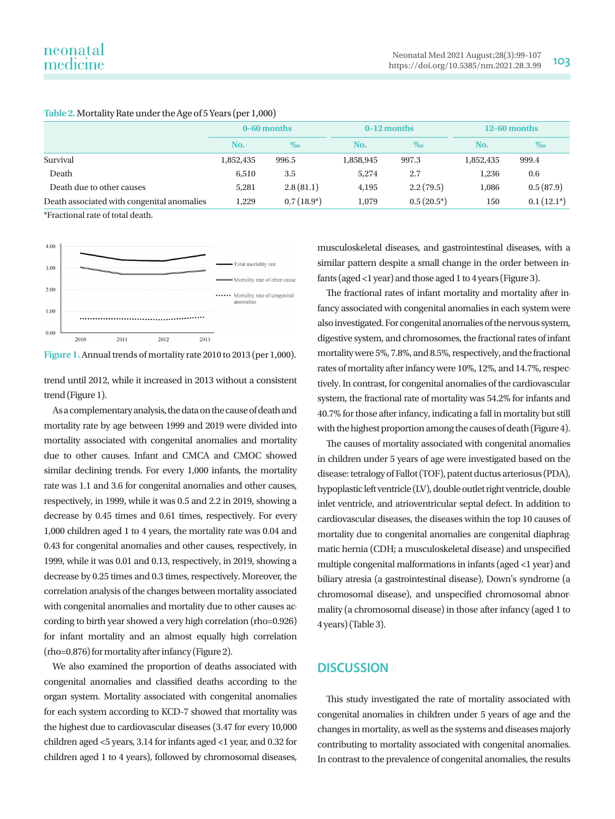|                                            | 0-60 months |              | $0-12$ months |               | $12-60$ months |              |
|--------------------------------------------|-------------|--------------|---------------|---------------|----------------|--------------|
|                                            | No.         | $\%$         | No.           | $\%$          | No.            | $\%$         |
| Survival                                   | 1,852,435   | 996.5        | 1,858,945     | 997.3         | 1,852,435      | 999.4        |
| Death                                      | 6,510       | 3.5          | 5.274         | 2.7           | 1.236          | 0.6          |
| Death due to other causes                  | 5,281       | 2.8(81.1)    | 4,195         | 2.2(79.5)     | 1,086          | 0.5(87.9)    |
| Death associated with congenital anomalies | 1,229       | $0.7(18.9*)$ | 1,079         | $0.5(20.5^*)$ | 150            | $0.1(12.1*)$ |

#### **Table 2.** Mortality Rate under the Age of 5 Years (per 1,000)

\*Fractional rate of total death.



**Figure 1.** Annual trends of mortality rate 2010 to 2013 (per 1,000).

trend until 2012, while it increased in 2013 without a consistent trend (Figure 1).

As a complementary analysis, the data on the cause of death and mortality rate by age between 1999 and 2019 were divided into mortality associated with congenital anomalies and mortality due to other causes. Infant and CMCA and CMOC showed similar declining trends. For every 1,000 infants, the mortality rate was 1.1 and 3.6 for congenital anomalies and other causes, respectively, in 1999, while it was 0.5 and 2.2 in 2019, showing a decrease by 0.45 times and 0.61 times, respectively. For every 1,000 children aged 1 to 4 years, the mortality rate was 0.04 and 0.43 for congenital anomalies and other causes, respectively, in 1999, while it was 0.01 and 0.13, respectively, in 2019, showing a decrease by 0.25 times and 0.3 times, respectively. Moreover, the correlation analysis of the changes between mortality associated with congenital anomalies and mortality due to other causes according to birth year showed a very high correlation (rho=0.926) for infant mortality and an almost equally high correlation (rho=0.876) for mortality after infancy (Figure 2).

We also examined the proportion of deaths associated with congenital anomalies and classified deaths according to the organ system. Mortality associated with congenital anomalies for each system according to KCD-7 showed that mortality was the highest due to cardiovascular diseases (3.47 for every 10,000 children aged <5 years, 3.14 for infants aged <1 year, and 0.32 for children aged 1 to 4 years), followed by chromosomal diseases,

musculoskeletal diseases, and gastrointestinal diseases, with a similar pattern despite a small change in the order between infants (aged <1 year) and those aged 1 to 4 years (Figure 3).

The fractional rates of infant mortality and mortality after infancy associated with congenital anomalies in each system were also investigated. For congenital anomalies of the nervous system, digestive system, and chromosomes, the fractional rates of infant mortality were 5%, 7.8%, and 8.5%, respectively, and the fractional rates of mortality after infancy were 10%, 12%, and 14.7%, respectively. In contrast, for congenital anomalies of the cardiovascular system, the fractional rate of mortality was 54.2% for infants and 40.7% for those after infancy, indicating a fall in mortality but still with the highest proportion among the causes of death (Figure 4).

The causes of mortality associated with congenital anomalies in children under 5 years of age were investigated based on the disease: tetralogy of Fallot (TOF), patent ductus arteriosus (PDA), hypoplastic left ventricle (LV), double outlet right ventricle, double inlet ventricle, and atrioventricular septal defect. In addition to cardiovascular diseases, the diseases within the top 10 causes of mortality due to congenital anomalies are congenital diaphragmatic hernia (CDH; a musculoskeletal disease) and unspecified multiple congenital malformations in infants (aged <1 year) and biliary atresia (a gastrointestinal disease), Down's syndrome (a chromosomal disease), and unspecified chromosomal abnormality (a chromosomal disease) in those after infancy (aged 1 to 4 years) (Table 3).

# **DISCUSSION**

This study investigated the rate of mortality associated with congenital anomalies in children under 5 years of age and the changes in mortality, as well as the systems and diseases majorly contributing to mortality associated with congenital anomalies. In contrast to the prevalence of congenital anomalies, the results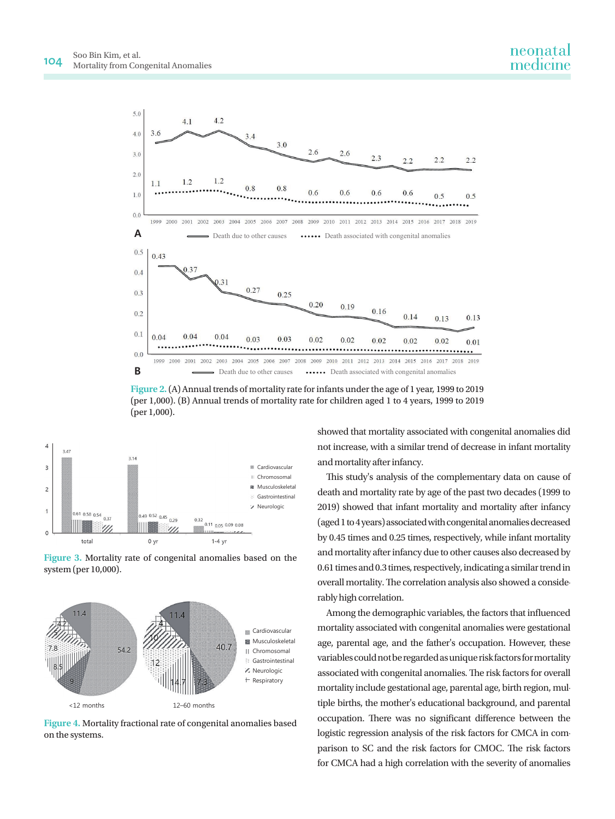

**Figure 2.** (A) Annual trends of mortality rate for infants under the age of 1 year, 1999 to 2019 (per 1,000). (B) Annual trends of mortality rate for children aged 1 to 4 years, 1999 to 2019 (per 1,000).



**Figure 3.** Mortality rate of congenital anomalies based on the system (per 10,000).



**Figure 4.** Mortality fractional rate of congenital anomalies based on the systems.

showed that mortality associated with congenital anomalies did not increase, with a similar trend of decrease in infant mortality and mortality after infancy.

This study's analysis of the complementary data on cause of death and mortality rate by age of the past two decades (1999 to 2019) showed that infant mortality and mortality after infancy (aged 1 to 4 years) associated with congenital anomalies decreased by 0.45 times and 0.25 times, respectively, while infant mortality and mortality after infancy due to other causes also decreased by 0.61 times and 0.3 times, respectively, indicating a similar trend in overall mortality. The correlation analysis also showed a considerably high correlation.

Among the demographic variables, the factors that influenced mortality associated with congenital anomalies were gestational age, parental age, and the father's occupation. However, these variables could not be regarded as unique risk factors for mortality associated with congenital anomalies. The risk factors for overall mortality include gestational age, parental age, birth region, multiple births, the mother's educational background, and parental occupation. There was no significant difference between the logistic regression analysis of the risk factors for CMCA in comparison to SC and the risk factors for CMOC. The risk factors for CMCA had a high correlation with the severity of anomalies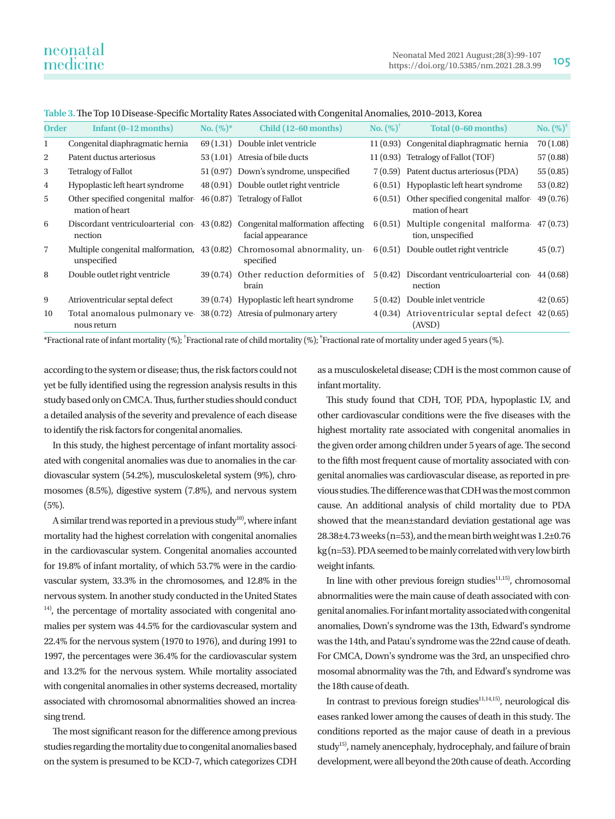| <b>Order</b>   | Infant $(0-12$ months)                                | $No. (%)^*$ | Child (12-60 months)                                                                               | $\mathbf{No.} (\%)^{\dagger}$ | Total (0-60 months)                                                    | <b>No.</b> $(\%)^{\dagger}$ |
|----------------|-------------------------------------------------------|-------------|----------------------------------------------------------------------------------------------------|-------------------------------|------------------------------------------------------------------------|-----------------------------|
| $\mathbf 1$    | Congenital diaphragmatic hernia                       |             | 69 (1.31) Double inlet ventricle                                                                   |                               | 11 (0.93) Congenital diaphragmatic hernia                              | 70(1.08)                    |
| 2              | Patent ductus arteriosus                              |             | 53 (1.01) Atresia of bile ducts                                                                    |                               | 11 (0.93) Tetralogy of Fallot (TOF)                                    | 57(0.88)                    |
| 3              | <b>Tetralogy of Fallot</b>                            |             | 51 (0.97) Down's syndrome, unspecified                                                             |                               | 7 (0.59) Patent ductus arteriosus (PDA)                                | 55(0.85)                    |
| 4              | Hypoplastic left heart syndrome                       |             | 48 (0.91) Double outlet right ventricle                                                            |                               | 6(0.51) Hypoplastic left heart syndrome                                | 53(0.82)                    |
| 5              | Other specified congenital malfor-<br>mation of heart |             | 46 (0.87) Tetralogy of Fallot                                                                      |                               | $6(0.51)$ Other specified congenital malfor-<br>mation of heart        | 49(0.76)                    |
| 6              | nection                                               |             | Discordant ventriculoarterial con 43 (0.82) Congenital malformation affecting<br>facial appearance |                               | $6(0.51)$ Multiple congenital malforma $47(0.73)$<br>tion, unspecified |                             |
| $\overline{7}$ | unspecified                                           |             | Multiple congenital malformation, 43 (0.82) Chromosomal abnormality, un-<br>specified              |                               | $6(0.51)$ Double outlet right ventricle                                | 45(0.7)                     |
| 8              | Double outlet right ventricle                         |             | 39 (0.74) Other reduction deformities of<br>brain                                                  |                               | $5(0.42)$ Discordant ventriculoarterial con 44 (0.68)<br>nection       |                             |
| 9              | Atrioventricular septal defect                        |             | 39 (0.74) Hypoplastic left heart syndrome                                                          | 5(0.42)                       | Double inlet ventricle                                                 | 42(0.65)                    |
| 10             | Total anomalous pulmonary ve-<br>nous return          |             | 38 (0.72) Atresia of pulmonary artery                                                              |                               | $4(0.34)$ Atrioventricular septal defect $42(0.65)$<br>(AVSD)          |                             |

**Table 3.** The Top 10 Disease-Specific Mortality Rates Associated with Congenital Anomalies, 2010–2013, Korea

\*Fractional rate of infant mortality (%); † Fractional rate of child mortality (%); ‡ Fractional rate of mortality under aged 5 years (%).

according to the system or disease; thus, the risk factors could not yet be fully identified using the regression analysis results in this study based only on CMCA. Thus, further studies should conduct a detailed analysis of the severity and prevalence of each disease to identify the risk factors for congenital anomalies.

In this study, the highest percentage of infant mortality associated with congenital anomalies was due to anomalies in the cardiovascular system (54.2%), musculoskeletal system (9%), chromosomes (8.5%), digestive system (7.8%), and nervous system (5%).

A similar trend was reported in a previous study<sup>10</sup>, where infant mortality had the highest correlation with congenital anomalies in the cardiovascular system. Congenital anomalies accounted for 19.8% of infant mortality, of which 53.7% were in the cardiovascular system, 33.3% in the chromosomes, and 12.8% in the nervous system. In another study conducted in the United States <sup>14)</sup>, the percentage of mortality associated with congenital anomalies per system was 44.5% for the cardiovascular system and 22.4% for the nervous system (1970 to 1976), and during 1991 to 1997, the percentages were 36.4% for the cardiovascular system and 13.2% for the nervous system. While mortality associated with congenital anomalies in other systems decreased, mortality associated with chromosomal abnormalities showed an increasing trend.

The most significant reason for the difference among previous studies regarding the mortality due to congenital anomalies based on the system is presumed to be KCD-7, which categorizes CDH as a musculoskeletal disease; CDH is the most common cause of infant mortality.

This study found that CDH, TOF, PDA, hypoplastic LV, and other cardiovascular conditions were the five diseases with the highest mortality rate associated with congenital anomalies in the given order among children under 5 years of age. The second to the fifth most frequent cause of mortality associated with congenital anomalies was cardiovascular disease, as reported in previous studies. The difference was that CDH was the most common cause. An additional analysis of child mortality due to PDA showed that the mean±standard deviation gestational age was 28.38±4.73 weeks (n=53), and the mean birth weight was 1.2±0.76 kg (n=53). PDA seemed to be mainly correlated with very low birth weight infants.

In line with other previous foreign studies $11,15$ , chromosomal abnormalities were the main cause of death associated with congenital anomalies. For infant mortality associated with congenital anomalies, Down's syndrome was the 13th, Edward's syndrome was the 14th, and Patau's syndrome was the 22nd cause of death. For CMCA, Down's syndrome was the 3rd, an unspecified chromosomal abnormality was the 7th, and Edward's syndrome was the 18th cause of death.

In contrast to previous foreign studies $1,14,15$ , neurological diseases ranked lower among the causes of death in this study. The conditions reported as the major cause of death in a previous study<sup>15)</sup>, namely anencephaly, hydrocephaly, and failure of brain development, were all beyond the 20th cause of death. According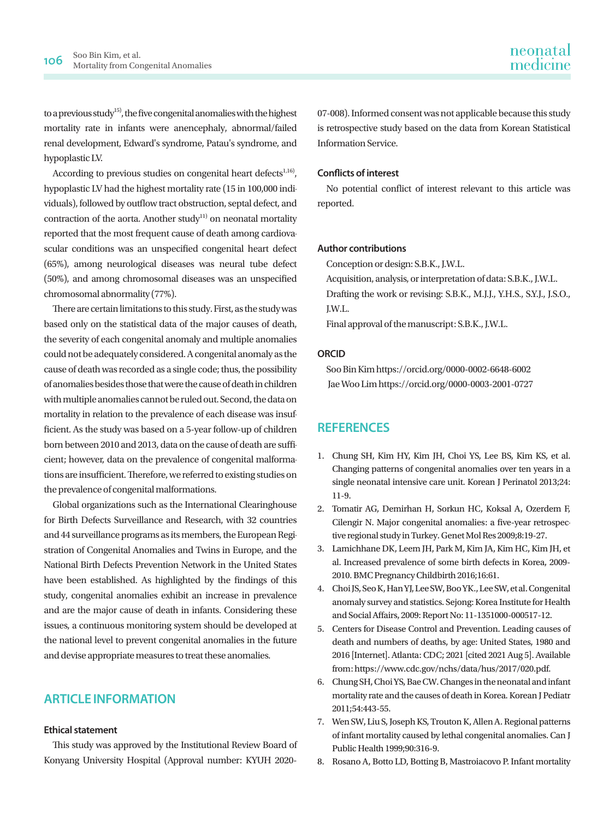to a previous study<sup>15)</sup>, the five congenital anomalies with the highest mortality rate in infants were anencephaly, abnormal/failed renal development, Edward's syndrome, Patau's syndrome, and hypoplastic LV.

According to previous studies on congenital heart defects<sup>1,16)</sup>, hypoplastic LV had the highest mortality rate (15 in 100,000 individuals), followed by outflow tract obstruction, septal defect, and contraction of the aorta. Another study<sup>11)</sup> on neonatal mortality reported that the most frequent cause of death among cardiovascular conditions was an unspecified congenital heart defect (65%), among neurological diseases was neural tube defect (50%), and among chromosomal diseases was an unspecified chromosomal abnormality (77%).

There are certain limitations to this study. First, as the study was based only on the statistical data of the major causes of death, the severity of each congenital anomaly and multiple anomalies could not be adequately considered. A congenital anomaly as the cause of death was recorded as a single code; thus, the possibility of anomalies besides those that were the cause of death in children with multiple anomalies cannot be ruled out. Second, the data on mortality in relation to the prevalence of each disease was insufficient. As the study was based on a 5-year follow-up of children born between 2010 and 2013, data on the cause of death are sufficient; however, data on the prevalence of congenital malformations are insufficient. Therefore, we referred to existing studies on the prevalence of congenital malformations.

Global organizations such as the International Clearinghouse for Birth Defects Surveillance and Research, with 32 countries and 44 surveillance programs as its members, the European Registration of Congenital Anomalies and Twins in Europe, and the National Birth Defects Prevention Network in the United States have been established. As highlighted by the findings of this study, congenital anomalies exhibit an increase in prevalence and are the major cause of death in infants. Considering these issues, a continuous monitoring system should be developed at the national level to prevent congenital anomalies in the future and devise appropriate measures to treat these anomalies.

## **ARTICLE INFORMATION**

#### **Ethical statement**

This study was approved by the Institutional Review Board of Konyang University Hospital (Approval number: KYUH 202007-008). Informed consent was not applicable because this study is retrospective study based on the data from Korean Statistical Information Service.

### **Conflicts of interest**

No potential conflict of interest relevant to this article was reported.

#### **Author contributions**

Conception or design: S.B.K., J.W.L.

Acquisition, analysis, or interpretation of data: S.B.K., J.W.L. Drafting the work or revising: S.B.K., M.J.J., Y.H.S., S.Y.J., J.S.O., J.W.L.

Final approval of the manuscript: S.B.K., J.W.L.

### **ORCID**

Soo Bin Kim https://orcid.org/0000-0002-6648-6002 Jae Woo Lim https://orcid.org/0000-0003-2001-0727

### **REFERENCES**

- 1. Chung SH, Kim HY, Kim JH, Choi YS, Lee BS, Kim KS, et al. Changing patterns of congenital anomalies over ten years in a single neonatal intensive care unit. Korean J Perinatol 2013;24: 11-9.
- 2. Tomatir AG, Demirhan H, Sorkun HC, Koksal A, Ozerdem F, Cilengir N. Major congenital anomalies: a five-year retrospective regional study in Turkey. Genet Mol Res 2009;8:19-27.
- 3. Lamichhane DK, Leem JH, Park M, Kim JA, Kim HC, Kim JH, et al. Increased prevalence of some birth defects in Korea, 2009- 2010. BMC Pregnancy Childbirth 2016;16:61.
- 4. Choi JS, Seo K, Han YJ, Lee SW, Boo YK., Lee SW, et al. Congenital anomaly survey and statistics. Sejong: Korea Institute for Health and Social Affairs, 2009: Report No: 11-1351000-000517-12.
- 5. Centers for Disease Control and Prevention. Leading causes of death and numbers of deaths, by age: United States, 1980 and 2016 [Internet]. Atlanta: CDC; 2021 [cited 2021 Aug 5]. Available from: <https://www.cdc.gov/nchs/data/hus/2017/020.pdf>.
- 6. Chung SH, Choi YS, Bae CW. Changes in the neonatal and infant mortality rate and the causes of death in Korea. Korean J Pediatr 2011;54:443-55.
- 7. Wen SW, Liu S, Joseph KS, Trouton K, Allen A. Regional patterns of infant mortality caused by lethal congenital anomalies. Can J Public Health 1999;90:316-9.
- 8. Rosano A, Botto LD, Botting B, Mastroiacovo P. Infant mortality